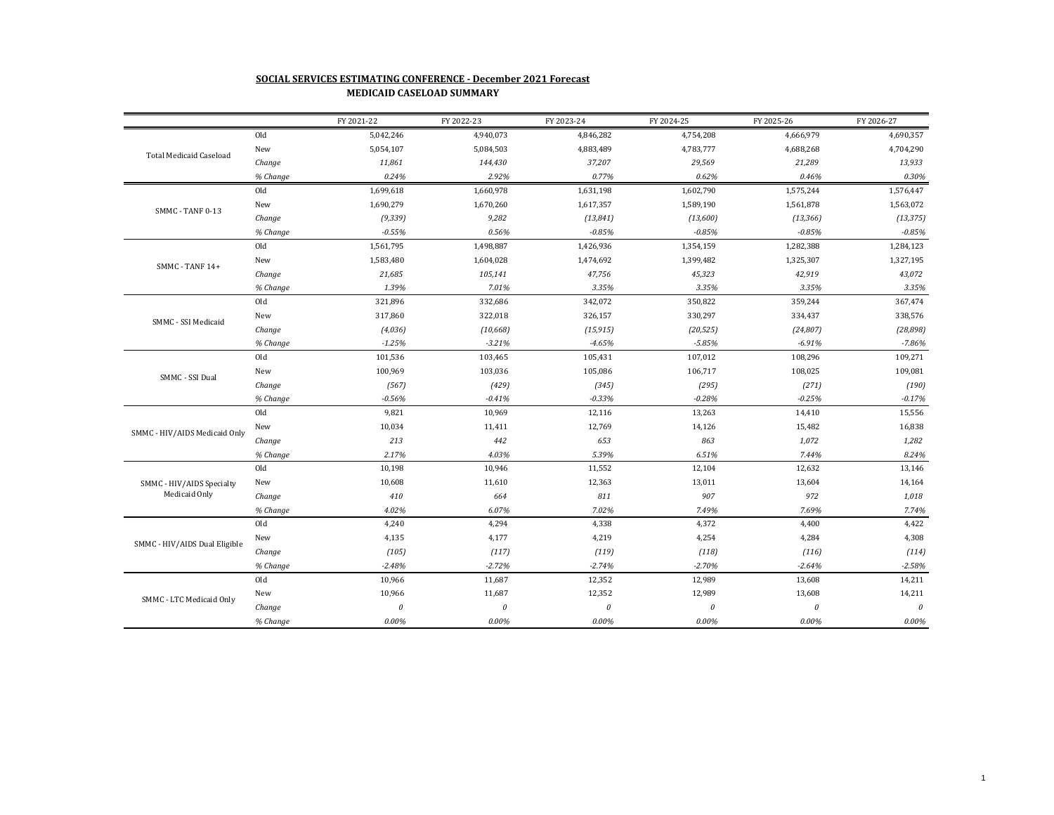## **SOCIAL SERVICES ESTIMATING CONFERENCE - December 2021 Forecast MEDICAID CASELOAD SUMMARY**

|                                            |          | FY 2021-22   | FY 2022-23 | FY 2023-24   | FY 2024-25 | FY 2025-26            | FY 2026-27 |
|--------------------------------------------|----------|--------------|------------|--------------|------------|-----------------------|------------|
| <b>Total Medicaid Caseload</b>             | Old      | 5,042,246    | 4,940,073  | 4,846,282    | 4,754,208  | 4,666,979             | 4,690,357  |
|                                            | New      | 5,054,107    | 5,084,503  | 4,883,489    | 4,783,777  | 4,688,268             | 4,704,290  |
|                                            | Change   | 11,861       | 144,430    | 37,207       | 29,569     | 21,289                | 13,933     |
|                                            | % Change | 0.24%        | 2.92%      | 0.77%        | 0.62%      | 0.46%                 | 0.30%      |
| SMMC - TANF 0-13                           | Old      | 1,699,618    | 1,660,978  | 1,631,198    | 1,602,790  | 1,575,244             | 1,576,447  |
|                                            | New      | 1,690,279    | 1,670,260  | 1,617,357    | 1,589,190  | 1,561,878             | 1,563,072  |
|                                            | Change   | (9, 339)     | 9,282      | (13, 841)    | (13,600)   | (13, 366)             | (13, 375)  |
|                                            | % Change | $-0.55%$     | 0.56%      | $-0.85%$     | $-0.85%$   | $-0.85%$              | $-0.85%$   |
|                                            | Old      | 1,561,795    | 1,498,887  | 1,426,936    | 1,354,159  | 1,282,388             | 1,284,123  |
| SMMC - TANF 14+                            | New      | 1,583,480    | 1,604,028  | 1,474,692    | 1,399,482  | 1,325,307             | 1,327,195  |
|                                            | Change   | 21,685       | 105,141    | 47,756       | 45,323     | 42,919                | 43,072     |
|                                            | % Change | 1.39%        | 7.01%      | 3.35%        | 3.35%      | 3.35%                 | 3.35%      |
|                                            | Old      | 321,896      | 332,686    | 342,072      | 350,822    | 359,244               | 367,474    |
| SMMC - SSI Medicaid                        | New      | 317,860      | 322,018    | 326,157      | 330,297    | 334,437               | 338,576    |
|                                            | Change   | (4,036)      | (10, 668)  | (15, 915)    | (20, 525)  | (24, 807)             | (28, 898)  |
|                                            | % Change | $-1.25%$     | $-3.21%$   | $-4.65%$     | $-5.85%$   | $-6.91%$              | $-7.86%$   |
|                                            | Old      | 101,536      | 103,465    | 105,431      | 107,012    | 108,296               | 109,271    |
| SMMC - SSI Dual                            | New      | 100,969      | 103,036    | 105,086      | 106,717    | 108,025               | 109,081    |
|                                            | Change   | (567)        | (429)      | (345)        | (295)      | (271)                 | (190)      |
|                                            | % Change | $-0.56%$     | $-0.41%$   | $-0.33%$     | $-0.28%$   | $-0.25%$              | $-0.17%$   |
|                                            | Old      | 9,821        | 10,969     | 12,116       | 13,263     | 14,410                | 15,556     |
| SMMC - HIV/AIDS Medicaid Only              | New      | 10,034       | 11,411     | 12,769       | 14,126     | 15,482                | 16,838     |
|                                            | Change   | 213          | 442        | 653          | 863        | 1,072                 | 1,282      |
|                                            | % Change | 2.17%        | 4.03%      | 5.39%        | 6.51%      | 7.44%                 | 8.24%      |
|                                            | Old      | 10,198       | 10,946     | 11,552       | 12,104     | 12,632                | 13,146     |
| SMMC - HIV/AIDS Specialty<br>Medicaid Only | New      | 10,608       | 11,610     | 12,363       | 13,011     | 13,604                | 14,164     |
|                                            | Change   | 410          | 664        | 811          | 907        | 972                   | 1,018      |
|                                            | % Change | 4.02%        | 6.07%      | 7.02%        | 7.49%      | 7.69%                 | 7.74%      |
| SMMC - HIV/AIDS Dual Eligible              | Old      | 4,240        | 4,294      | 4,338        | 4,372      | 4,400                 | 4,422      |
|                                            | New      | 4,135        | 4,177      | 4,219        | 4,254      | 4,284                 | 4,308      |
|                                            | Change   | (105)        | (117)      | (119)        | (118)      | (116)                 | (114)      |
|                                            | % Change | $-2.48%$     | $-2.72%$   | $-2.74%$     | $-2.70%$   | $-2.64%$              | $-2.58%$   |
|                                            | Old      | 10,966       | 11,687     | 12,352       | 12,989     | 13,608                | 14,211     |
| SMMC - LTC Medicaid Only                   | New      | 10,966       | 11,687     | 12,352       | 12,989     | 13,608                | 14,211     |
|                                            | Change   | $\mathcal O$ | $\it{0}$   | $\mathcal O$ | $\theta$   | $\boldsymbol{\theta}$ | $\it{0}$   |
|                                            | % Change | 0.00%        | 0.00%      | 0.00%        | 0.00%      | 0.00%                 | $0.00\%$   |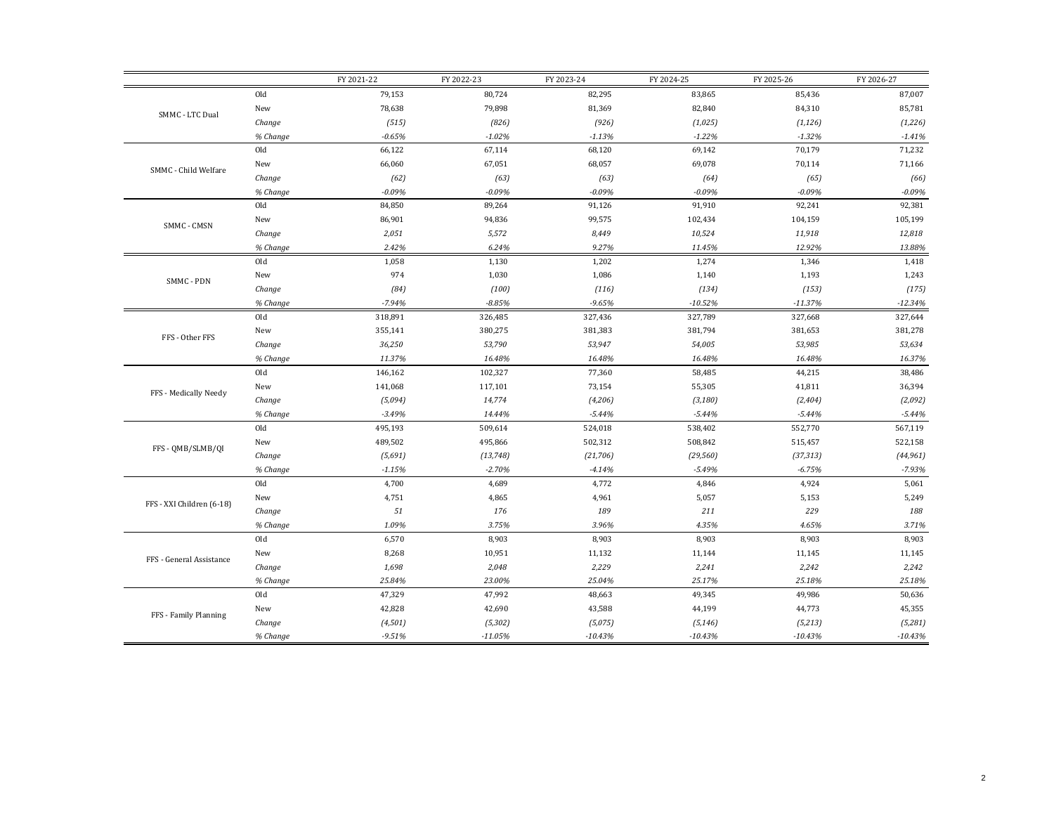|                           |          | FY 2021-22 | FY 2022-23 | FY 2023-24 | FY 2024-25 | FY 2025-26 | FY 2026-27 |
|---------------------------|----------|------------|------------|------------|------------|------------|------------|
|                           | Old      | 79,153     | 80,724     | 82,295     | 83,865     | 85,436     | 87,007     |
| SMMC - LTC Dual           | New      | 78,638     | 79,898     | 81,369     | 82,840     | 84,310     | 85,781     |
|                           | Change   | (515)      | (826)      | (926)      | (1,025)    | (1, 126)   | (1,226)    |
|                           | % Change | $-0.65%$   | $-1.02%$   | $-1.13%$   | $-1.22%$   | $-1.32%$   | $-1.41%$   |
| SMMC - Child Welfare      | Old      | 66,122     | 67,114     | 68,120     | 69,142     | 70,179     | 71,232     |
|                           | New      | 66,060     | 67,051     | 68,057     | 69,078     | 70,114     | 71,166     |
|                           | Change   | (62)       | (63)       | (63)       | (64)       | (65)       | (66)       |
|                           | % Change | $-0.09%$   | $-0.09%$   | $-0.09%$   | $-0.09%$   | $-0.09%$   | $-0.09%$   |
|                           | Old      | 84,850     | 89,264     | 91,126     | 91,910     | 92,241     | 92,381     |
|                           | New      | 86,901     | 94,836     | 99,575     | 102,434    | 104,159    | 105,199    |
| SMMC - CMSN               | Change   | 2,051      | 5,572      | 8,449      | 10,524     | 11,918     | 12,818     |
|                           | % Change | 2.42%      | 6.24%      | 9.27%      | 11.45%     | 12.92%     | 13.88%     |
|                           | Old      | 1,058      | 1,130      | 1,202      | 1,274      | 1,346      | 1,418      |
| SMMC - PDN                | New      | 974        | 1,030      | 1,086      | 1,140      | 1,193      | 1,243      |
|                           | Change   | (84)       | (100)      | (116)      | (134)      | (153)      | (175)      |
|                           | % Change | $-7.94%$   | $-8.85%$   | $-9.65%$   | $-10.52%$  | $-11.37%$  | $-12.34%$  |
|                           | Old      | 318,891    | 326,485    | 327,436    | 327,789    | 327,668    | 327,644    |
| FFS - Other FFS           | New      | 355,141    | 380,275    | 381,383    | 381,794    | 381,653    | 381,278    |
|                           | Change   | 36,250     | 53,790     | 53,947     | 54,005     | 53,985     | 53,634     |
|                           | % Change | 11.37%     | 16.48%     | 16.48%     | 16.48%     | 16.48%     | 16.37%     |
|                           | Old      | 146,162    | 102,327    | 77,360     | 58,485     | 44,215     | 38,486     |
| FFS - Medically Needy     | New      | 141,068    | 117,101    | 73,154     | 55,305     | 41,811     | 36,394     |
|                           | Change   | (5,094)    | 14,774     | (4,206)    | (3, 180)   | (2, 404)   | (2,092)    |
|                           | % Change | $-3.49%$   | 14.44%     | $-5.44%$   | $-5.44%$   | $-5.44%$   | $-5.44%$   |
|                           | Old      | 495,193    | 509,614    | 524,018    | 538,402    | 552,770    | 567,119    |
| FFS - OMB/SLMB/OI         | New      | 489,502    | 495,866    | 502,312    | 508,842    | 515,457    | 522,158    |
|                           | Change   | (5,691)    | (13, 748)  | (21, 706)  | (29, 560)  | (37, 313)  | (44, 961)  |
|                           | % Change | $-1.15%$   | $-2.70%$   | $-4.14%$   | $-5.49%$   | $-6.75%$   | $-7.93%$   |
|                           | Old      | 4,700      | 4,689      | 4,772      | 4,846      | 4,924      | 5,061      |
| FFS - XXI Children (6-18) | New      | 4,751      | 4,865      | 4,961      | 5,057      | 5,153      | 5,249      |
|                           | Change   | 51         | 176        | 189        | 211        | 229        | 188        |
|                           | % Change | 1.09%      | 3.75%      | 3.96%      | 4.35%      | 4.65%      | 3.71%      |
|                           | Old      | 6,570      | 8,903      | 8,903      | 8,903      | 8,903      | 8,903      |
| FFS - General Assistance  | New      | 8,268      | 10,951     | 11,132     | 11,144     | 11,145     | 11,145     |
|                           | Change   | 1,698      | 2,048      | 2,229      | 2,241      | 2,242      | 2,242      |
|                           | % Change | 25.84%     | 23.00%     | 25.04%     | 25.17%     | 25.18%     | 25.18%     |
|                           | Old      | 47,329     | 47,992     | 48,663     | 49,345     | 49,986     | 50,636     |
| FFS - Family Planning     | New      | 42,828     | 42,690     | 43,588     | 44,199     | 44,773     | 45,355     |
|                           | Change   | (4, 501)   | (5, 302)   | (5,075)    | (5, 146)   | (5,213)    | (5,281)    |
|                           | % Change | $-9.51%$   | $-11.05%$  | $-10.43%$  | $-10.43%$  | $-10.43%$  | $-10.43%$  |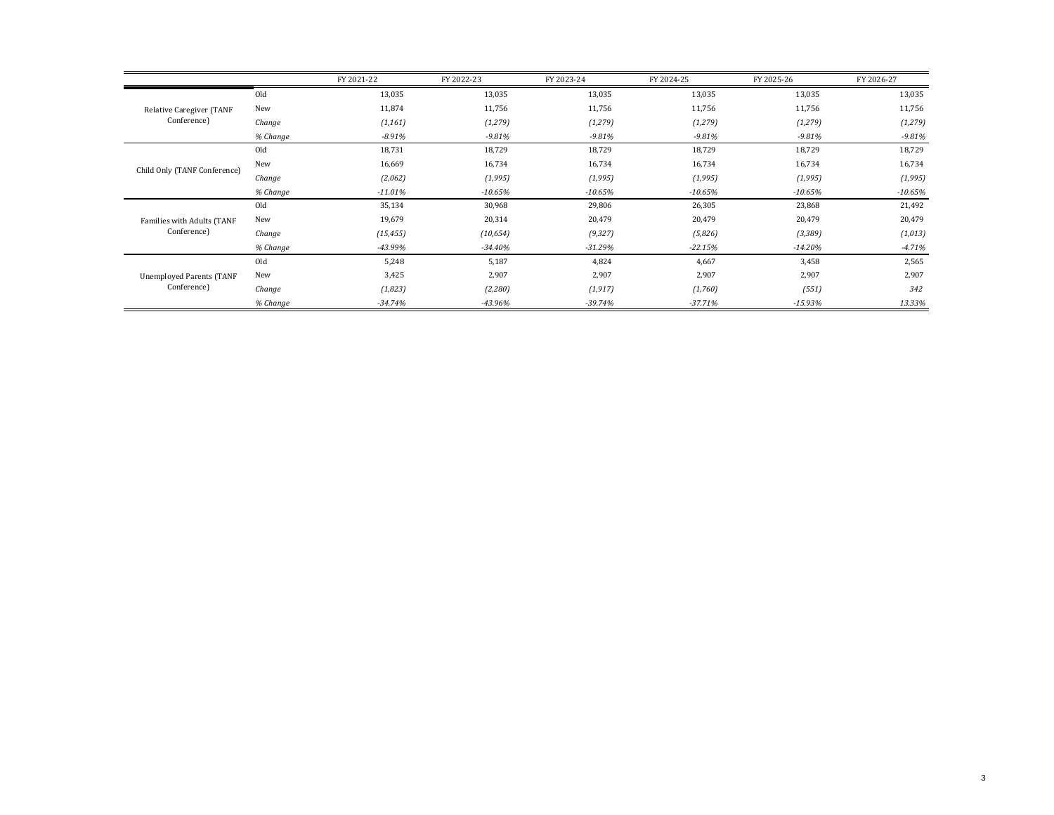|                                                |          | FY 2021-22 | FY 2022-23 | FY 2023-24 | FY 2024-25 | FY 2025-26 | FY 2026-27 |
|------------------------------------------------|----------|------------|------------|------------|------------|------------|------------|
| Relative Caregiver (TANF<br>Conference)        | Old      | 13,035     | 13,035     | 13,035     | 13,035     | 13,035     | 13,035     |
|                                                | New      | 11,874     | 11,756     | 11,756     | 11,756     | 11,756     | 11,756     |
|                                                | Change   | (1, 161)   | (1, 279)   | (1, 279)   | (1, 279)   | (1, 279)   | (1, 279)   |
|                                                | % Change | $-8.91%$   | $-9.81%$   | $-9.81%$   | $-9.81%$   | -9.81%     | $-9.81%$   |
|                                                | Old      | 18,731     | 18,729     | 18,729     | 18,729     | 18,729     | 18,729     |
| Child Only (TANF Conference)                   | New      | 16,669     | 16,734     | 16,734     | 16,734     | 16,734     | 16,734     |
|                                                | Change   | (2,062)    | (1,995)    | (1,995)    | (1,995)    | (1,995)    | (1,995)    |
|                                                | % Change | $-11.01%$  | $-10.65%$  | $-10.65%$  | $-10.65\%$ | $-10.65%$  | $-10.65%$  |
|                                                | Old      | 35,134     | 30,968     | 29,806     | 26,305     | 23,868     | 21,492     |
| Families with Adults (TANF<br>Conference)      | New      | 19,679     | 20,314     | 20,479     | 20,479     | 20,479     | 20,479     |
|                                                | Change   | (15, 455)  | (10, 654)  | (9, 327)   | (5,826)    | (3, 389)   | (1,013)    |
|                                                | % Change | -43.99%    | $-34.40%$  | $-31.29%$  | $-22.15%$  | $-14.20%$  | $-4.71%$   |
| <b>Unemployed Parents (TANF</b><br>Conference) | Old      | 5,248      | 5,187      | 4,824      | 4,667      | 3,458      | 2,565      |
|                                                | New      | 3,425      | 2,907      | 2,907      | 2,907      | 2,907      | 2,907      |
|                                                | Change   | (1,823)    | (2,280)    | (1, 917)   | (1,760)    | (551)      | 342        |
|                                                | % Change | $-34.74%$  | -43.96%    | $-39.74%$  | $-37.71%$  | $-15.93%$  | 13.33%     |